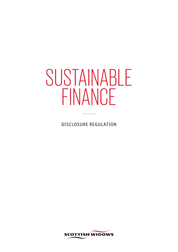# SUSTAINABLE FINANCE

DISCLOSURE REGULATION

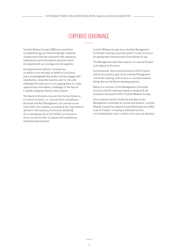# CORPORATE GOVERNANCE

Scottish Widows Europe (SWE) are committed to implementing and maintaining high standards of governance that are consistent with regulatory expectations and evolving best practices which are aligned with our strategy and risk appetite.

Good governance delivers transparency, an ability to act ethically on behalf of customers, and a knowledgeable Board who actively engage with stakeholders, know the business and its risks and challenge the status quo on an ongoing basis to create opportunities and address challenges in the face of a rapidly changing industry and economy.

The Board of Directors ensures that the key Solvency II control functions, i.e. Internal Audit, Compliance, Actuarial and Risk Management, are covered at any time within the company according to the requirements defined in the Solvency II Directive 2009/138, the Luxembourg Law of 07/12/2015 on Insurance Sector as well as their European and Luxembourg implementing measures.

Scottish Widows Europe has a monthly Management Committee meeting reporting system in order to ensure an appropriate communication from bottom to top.

The Management team then reports on a quarterly basis to the Board of Directors.

Environmental, Social and Governance (ESG) matters will be discussed as part of the monthly Management committee meeting, with actions or recommendations being taken to the Board meeting quarterly.

Below is a summary of the Management Committee structure and the meeting frequency along with the escalation framework within Scottish Widows Europe.

Any escalation would initially be provided to the Management committee for review and analysis. Scottish Widows Europe has adopted Lloyds Banking Group (LBG) Code of Conduct, including a dedicated section on Confidentiality rules in which strict rules are detailed.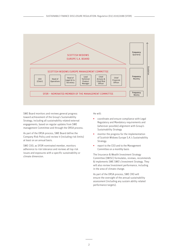

SWE Board monitors and reviews general progress toward achievement of the Group's Sustainability Strategy, including all sustainability related external engagements, based on regular updates from SWE management Committee and through the ORSA process.

As part of the ORSA process, SWE Board define the Company Risk Policy and review it (including risk limits) at least on an annual basis.

SWE COO, as SFDR nominated member, monitors adherence to risk tolerance and reviews all top risk issues and exposures with a specific sustainability or climate dimension.

He will:

- coordinate and ensure compliance with Legal Regulatory and Mandatory requirements and (wherever possible) alignment with Group's Sustainability Strategy
- monitor the progress for the implementation of Scottish Widows Europe S.A.'s Sustainability Strategy.
- report to the CEO and to the Management Committee on a monthly basis

The Insurance & Wealth Investment Strategy Committee (IWISC) formulates, reviews, recommends & implements SWE SWE's Investment Strategy. They will also review Investment performance, including in the area of climate change.

As part of the ORSA process, SWE CRO will ensure the oversight of the annual sustainability assessment (including any sustain ability related performance targets).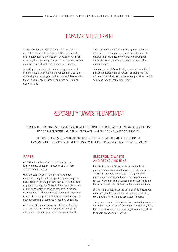# HUMAN CAPITAL DEVFI OPMENT

Scottish Widows Europe believe in human capital, and fully support all employees in their intrinsically linked personal and professional development whilst ensuring their wellbeing to support our business within a multicultural, flexible and diverse environment.

Investing in people is critical and a key component of our company: our people are our company. Our aim is to develop our employees in their own self development by offering a range of internal and external training opportunities.

The nature of SWE means our Management team are accessible to all employees, to support them and to develop their richness and diversity to strengthen our business and continue to meet the needs of all our customers.

To enhance people's well-being, we provide continual personal development opportunities along with the options of flexitime, partial remote or part time working solutions for applicable employees.

## RESPONSIBILITY TOWARDS THE ENVIRONMENT

OUR AIM IS TO REDUCE OUR ENVIRONMENTAL FOOTPRINT BY REDUCING OUR: ENERGY CONSUMPTION, USE OF PAPER/PRINTING, EMPLOYEE TRAVEL, WATER USE AND WASTE GENERATION.

REDUCING EMISSIONS AND ENERGY USE IS THE FOUNDATION AND EXPECTATION OF ANY CORPORATE ENVIRONMENTAL PROGRAM WITH A PROGRESSIVE CLIMATE CHANGE POLICY.

#### PAPER

As part a major financial services institution, large volumes of paper are used in LBG's offices and in client materials.

Over the last few years, the group have made a number of significant changes in the way they use paper resulting in a significant reduction in their rate of paper consumption. These include the introduction of black and white printing as standard. A further development has been the accelerated roll-out, due to Covid-19, of laptops to employees, thus removing the need for printing documents for reading or editing.

All confidential paper across all offices is shredded and recycled, and most washrooms are equipped with electric hand dryers rather than paper towels.

### ELECTRONIC WASTE AND RECYCLING BINS

Electronic waste or "e-waste" is one of the fastest growing waste streams in the world. Electronic devices are rich in precious metals, such as copper, gold, platinum and palladium that can be recovered and reused. Many electronic devices also contain toxic and hazardous materials like lead, cadmium and mercury.

If e-waste is simply disposed of in landfills, hazardous materials could contaminate soil, water and air and create potential health and ecosystem impacts.

The group recognize their ethical responsibility to ensure e-waste is disposed of safely and have placed recycling bins, including electronic recycling bins in most offices, to enable proper waste sorting.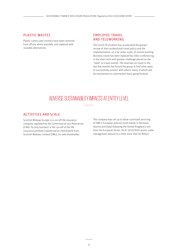## PLASTIC WASTES

Plastic cutlery and crockery have been removed from offices where possible, and replaced with reusable alternatives.

#### EMPLOYEE TRAVEL AND TELEWORKING

The Covid-19 situation has accelerated the group's review of their professional travel policy and the implementation, on a far wider scale, of remote working. Business travel has been replaced by video conferencing in the short term with greater challenge placed on the "need" to travel overall. The total ban on travel in the last few months has forced the group to find other ways to successfully connect with others, many of which will be maintained on a permanent basis going forward.

# ADVERSE SUSTAINABILITY IMPACTS AT ENTITY LEVEL

#### ACTIVITIES AND SCALE

Scottish Widows Europe is a run-off life insurance company regulated by the Commissariat aux Assurances (CAA). Its only business is the run-off of the life insurance portfolio transferred on 29/03/2019 from Scottish Widows Limited (SWL), its sole shareholder.

The company was set up to allow continued servicing of SWL's European policies (sold mainly in Germany, Austria and Italy) following the United Kingdom's exit from the European Union. As at 31/12/2020 assets under management amount to a little more than €2 Billion.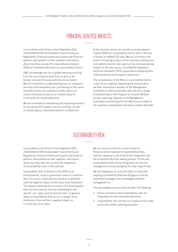## PRINCIPAL ADVERSE IMPACTS

In accordance with Article 4 from Regulation (EU) 2019/2088 (SFDR) (Sustainable Finance Disclosure Regulation), financial market participants and financial advisers shall publish on their websites information about how they consider Principal Adverse Impacts (PAIs) of investment decisions on sustainability factors.

SWE acknowledge the risk of global warming resulting from the use of natural fossil fuels as well as the human, economic & social activities on our planet. We are committed to understanding how our company's activities and investments are contributing to this cause and what actions are necessary to help reduce our carbon emissions as well as our carbon footprint in line with our overall objectives.

We are committed to maintaining and improving research to incorporate ESG aspects into our activities, as well as influencing our investment partners to follow this.

At the moment, we do not consider principal adverse impacts (PAIs) on sustainability factors due to the lack of access to reliable ESG data. We are currently in the process of putting in place all the necessary mechanisms to be able to monitor and report on the principal adverse impacts in the near future, including the Regulatory Technical Standards' (RTS) requirements following their endorsement by the European Commission.

The consideration of the PAIs on sustainability factors is part of our roadmap. Regarding the actions taken, we have nominated a member of the Management Committee as ESG responsible, who will be in charge of establishing an ESG Program for Scottish Widows Europe, reporting regularly to the Management Committee and liaising with the LBG Group to adapt to the regulatory development and future market demands.

## SI ISTAINARII ITY RISK

In accordance with Article 3 from Regulation (EU) 2019/2088 (SFDR) (Sustainable Finance Disclosure Regulation), financial market participants and financial advisers shall publish on their websites information about how they take into account the integration of sustainability risks in their policies.

Sustainability Risk is defined in the SFDR as an environmental, social or governance event or condition that, if it occurs, could cause an actual or a potential material negative impact on the value of an investment. The impacts following the occurrence of a Sustainability Risk may be numerous and vary depending on the specific risk, region and investment class. In general, where a Sustainability Risk occurs in respect of an investment, there will be a negative impact on, or entire loss of its value.

We are conscious that the current Financial Products remain exposed to Sustainability Risks and this, whatever is the level of ESG integration into the investment decision making process. To this end, Sustainability Risks will be integrated into the risk management process alongside the other type of risks.

We will implement (in line with LBG) an initial and ongoing Sustainability Risk Due Diligence of all the investment managers who we delegate portfolio management to.

This due diligence process will consider the following:

- Ensure and assess how sustainability risks are integrated into the investment decisions
- Sustainability risk controls are in place on pre-trade, post trade and for reporting purposes.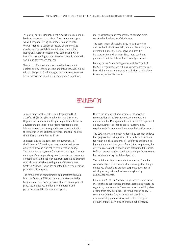As part of our Risk Management process, on a bi-annual basis, using external data from Investment managers, we will keep marketing documentation up to date. We will monitor a variety of factors on the invested assets, such as availability of information and ESG Rating at investee company level, carbon and water footprints, screening of controversies on environmental, social and governance aspects.

We aim to offer customers sustainable investment choices and by using our scale and influence, SWE & LBG will challenge our fund managers and the companies we invest with/in, on behalf of our customers', to behave

more sustainably and responsibly to become more sustainable businesses of the future.

The assessment of sustainability risks is complex and can be difficult to obtain, and may be incomplete, estimated, out of date or otherwise materially inaccurate. Even when identified, there can be no guarantee that the data will be correctly assessed.

For any future Funds falling under articles 8 or 9 of the SFDR regulation, we will ensure adequate controls, key risk indicators and reporting solutions are in place to ensure proper disclosure.

## REMI INFRATION

In accordance with Article 5 from Regulation (EU) 2019/2088 (SFDR) (Sustainable Finance Disclosure Regulation), Financial market participants and financial advisers shall include in their remuneration policies information on how those policies are consistent with the integration of sustainability risks, and shall publish that information on their websites.

In encapsulating the governance requirements of the Solvency II Directive, insurance undertakings are obliged to draw up a so-called remuneration policy. The remuneration systems for business managers "inside, employees" and supervisory board members of insurance companies must be appropriate, transparent and oriented towards a sustainable development of the company. Scottish Widows Europe has adopted LBG's remuneration policy for this purpose.

The remuneration commitments and practices derived from the Solvency II Directive are consistent with the business and risk strategy, risk profile, risk management practices, objectives and long-term interests and performance of LBG life insurance group.

Due to the absence of new business, the variable remuneration of the Executive Board members and members of the Management Committee is not dependent on new business, so that no special sustainability requirements for remuneration are applied in this respect.

The LBG remuneration policy adopted by Scottish Widows Europe provides that a portion of variable remuneration for Material Risk Takers (MRT's) is deferred and retained for a minimum of three years. For all other employees, the deferral is also applied above a pre-determined threshold. Deferred awards can be claw-back should performance not be sustained during the deferral period.

The individual objectives are in turn derived from the corporate objectives. These include, among other things, objectives of good and prudent corporate governance, which places great emphasis on strengthening compliance aspects.

Conclusion: Scottish Widows Europe has a remuneration system that is appropriate and transparent and meets the regulatory requirements. There are no sustainability risks arising from new business. The remuneration policy is continuously being further developed, also from a sustainability point of view, and is also aiming for greater consideration of further sustainability risks.